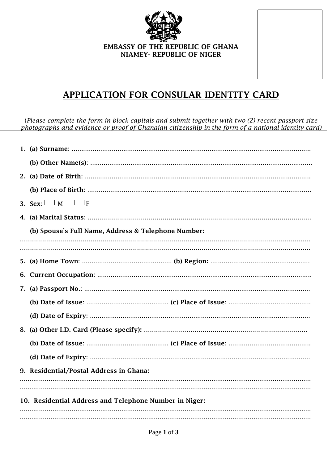

## APPLICATION FOR CONSULAR IDENTITY CARD

(Please complete the form in block capitals and submit together with two  $(2)$  recent passport size photographs and evidence or proof of Ghanaian citizenship in the form of a national identity card)

|                                                        | 3. Sex: $\Box$ M<br>__ J F                          |  |
|--------------------------------------------------------|-----------------------------------------------------|--|
|                                                        |                                                     |  |
|                                                        | (b) Spouse's Full Name, Address & Telephone Number: |  |
|                                                        |                                                     |  |
|                                                        |                                                     |  |
|                                                        |                                                     |  |
|                                                        |                                                     |  |
|                                                        |                                                     |  |
|                                                        |                                                     |  |
|                                                        |                                                     |  |
|                                                        |                                                     |  |
|                                                        |                                                     |  |
|                                                        |                                                     |  |
|                                                        | 9. Residential/Postal Address in Ghana:             |  |
|                                                        |                                                     |  |
| 10. Residential Address and Telephone Number in Niger: |                                                     |  |
|                                                        |                                                     |  |
|                                                        |                                                     |  |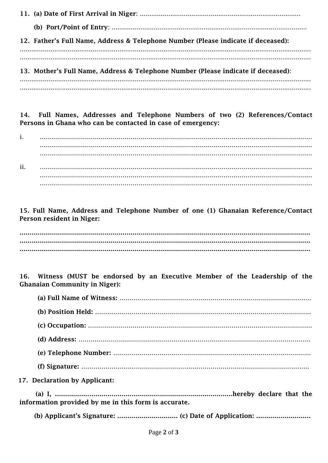11. (a) Date of First Arrival in Niger: .................................................................................... (b) Port/Point of Entry: ...................................................................................................... 12. Father's Full Name, Address & Telephone Number (Please indicate if deceased): ........................................................................................................................................................ ........................................................................................................................................................ 13. Mother's Full Name, Address & Telephone Number (Please indicate if deceased): ........................................................................................................................................................ ........................................................................................................................................................

14. Full Names, Addresses and Telephone Numbers of two (2) References/Contact Persons in Ghana who can be contacted in case of emergency:

i. ……………………………………………………………………………………………………………………… ……………………………………………………………………………………………………………………… ……………………………………………………………………………………………………………………… ii. ……………………………………………………………………………………………………………………… ……………………………………………………………………………………………………………………… ………………………………………………………………………………………………………………………

15. Full Name, Address and Telephone Number of one (1) Ghanaian Reference/Contact Person resident in Niger:

……………………………………………………………………………………………………………………………… ……………………………………………………………………………………………………………………………… ………………………………………………………………………………………………………………………………

16. Witness (MUST be endorsed by an Executive Member of the Leadership of the Ghanaian Community in Niger):

| 17. Declaration by Applicant: |
|-------------------------------|

 (a) I, …………………………………………………………………………….hereby declare that the information provided by me in this form is accurate.

(b) Applicant's Signature: ………………………… (c) Date of Application: ………………………